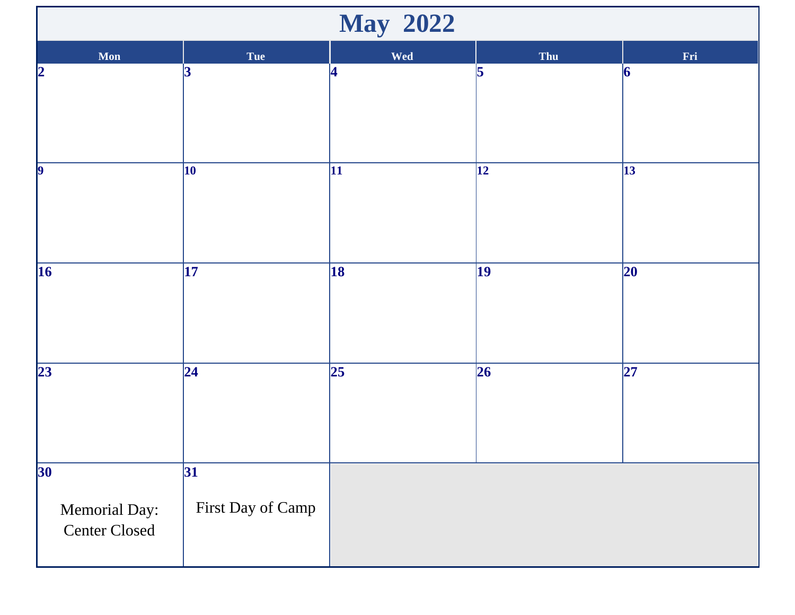| <b>May 2022</b>                                          |                          |                 |                 |            |  |  |  |
|----------------------------------------------------------|--------------------------|-----------------|-----------------|------------|--|--|--|
| Mon                                                      | <b>Tue</b>               | Wed             | Thu             | Fri        |  |  |  |
| 2                                                        | 3                        | 4               | 5               | 6          |  |  |  |
| $\vert$ <sub>9</sub>                                     | 10                       | 11              | $\vert$ 12      | $\vert$ 13 |  |  |  |
| $\vert$ 16                                               | $\overline{17}$          | 18              | $\vert$ 19      | 20         |  |  |  |
| 23                                                       | $\overline{24}$          | $\overline{25}$ | $\overline{26}$ | 27         |  |  |  |
| 30 <sup>°</sup><br>Memorial Day:<br><b>Center Closed</b> | 31 <br>First Day of Camp |                 |                 |            |  |  |  |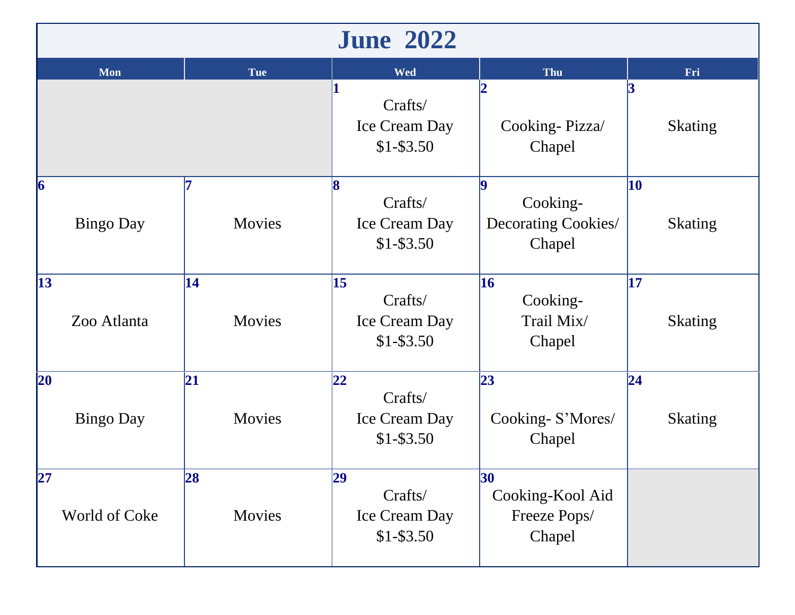| <b>June 2022</b>                    |              |                                                 |                                                  |                                   |  |  |  |
|-------------------------------------|--------------|-------------------------------------------------|--------------------------------------------------|-----------------------------------|--|--|--|
| Mon                                 | <b>Tue</b>   | <b>Wed</b>                                      | Thu                                              | Fri                               |  |  |  |
|                                     |              | Crafts/<br>Ice Cream Day<br>$$1 - $3.50$        | Cooking-Pizza/<br>Chapel                         | <b>Skating</b>                    |  |  |  |
| $\vert 6 \vert$<br><b>Bingo Day</b> | Movies       | Crafts/<br>Ice Cream Day<br>$$1 - $3.50$        | Cooking-<br>Decorating Cookies/<br>Chapel        | 10<br><b>Skating</b>              |  |  |  |
| 13<br>Zoo Atlanta                   | 14<br>Movies | 15<br>Crafts/<br>Ice Cream Day<br>$$1 - $3.50$  | 16<br>Cooking-<br>Trail Mix/<br>Chapel           | $\overline{17}$<br><b>Skating</b> |  |  |  |
| 20<br><b>Bingo Day</b>              | 21<br>Movies | 22 <br>Crafts/<br>Ice Cream Day<br>$$1 - $3.50$ | 23<br>Cooking-S'Mores/<br>Chapel                 | 24 <br><b>Skating</b>             |  |  |  |
| 27 <br>World of Coke                | 28<br>Movies | 29<br>Crafts/<br>Ice Cream Day<br>$$1-$3.50$    | 30<br>Cooking-Kool Aid<br>Freeze Pops/<br>Chapel |                                   |  |  |  |